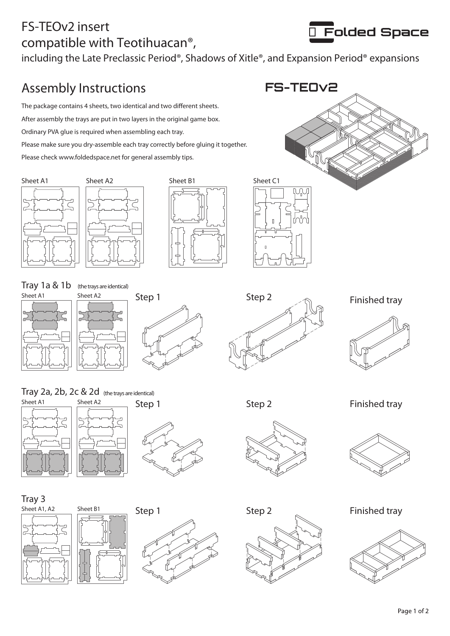## FS-TEOv2 insert compatible with Teotihuacan®,



including the Late Preclassic Period®, Shadows of Xitle®, and Expansion Period® expansions

## Assembly Instructions **FS-TEOV2** The package contains 4 sheets, two identical and two different sheets. After assembly the trays are put in two layers in the original game box. Ordinary PVA glue is required when assembling each tray. Please make sure you dry-assemble each tray correctly before gluing it together. Please check www.foldedspace.net for general assembly tips. Sheet A1 Sheet A2 Sheet B1 Sheet C1 5 Tray 1a & 1b (the trays are identical) Sheet A1 Sheet A2 Step 1 Step 2  $\qquad$  Finished tray Tray 2a, 2b, 2c & 2d (the trays are identical) Sheet A1 Sheet A2 Step 1 Step 2 Finished tray Tray 3 Sheet A1, A2 Sheet B1 Step 1 Step 2 Finished tray